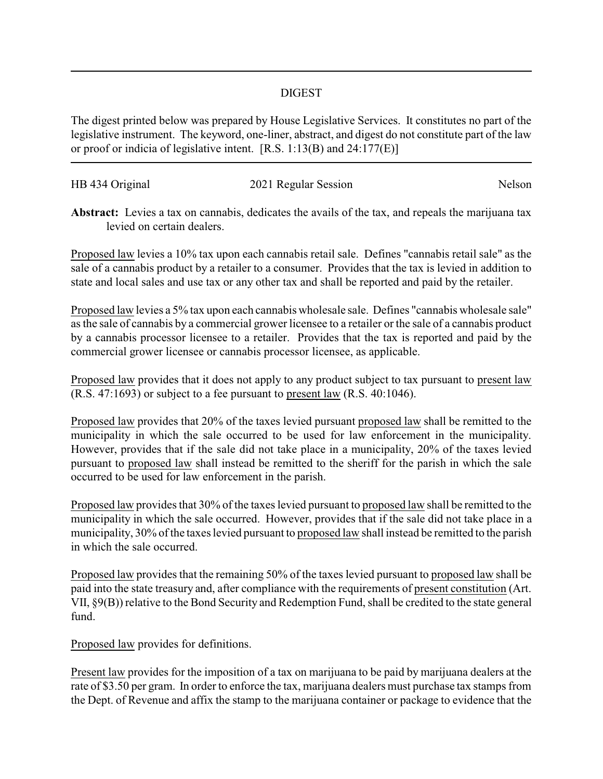## DIGEST

The digest printed below was prepared by House Legislative Services. It constitutes no part of the legislative instrument. The keyword, one-liner, abstract, and digest do not constitute part of the law or proof or indicia of legislative intent. [R.S. 1:13(B) and 24:177(E)]

| HB 434 Original | 2021 Regular Session | Nelson |
|-----------------|----------------------|--------|
|                 |                      |        |

**Abstract:** Levies a tax on cannabis, dedicates the avails of the tax, and repeals the marijuana tax levied on certain dealers.

Proposed law levies a 10% tax upon each cannabis retail sale. Defines "cannabis retail sale" as the sale of a cannabis product by a retailer to a consumer. Provides that the tax is levied in addition to state and local sales and use tax or any other tax and shall be reported and paid by the retailer.

Proposed law levies a 5% tax upon each cannabis wholesale sale. Defines "cannabis wholesale sale" as the sale of cannabis by a commercial grower licensee to a retailer or the sale of a cannabis product by a cannabis processor licensee to a retailer. Provides that the tax is reported and paid by the commercial grower licensee or cannabis processor licensee, as applicable.

Proposed law provides that it does not apply to any product subject to tax pursuant to present law (R.S. 47:1693) or subject to a fee pursuant to present law (R.S. 40:1046).

Proposed law provides that 20% of the taxes levied pursuant proposed law shall be remitted to the municipality in which the sale occurred to be used for law enforcement in the municipality. However, provides that if the sale did not take place in a municipality, 20% of the taxes levied pursuant to proposed law shall instead be remitted to the sheriff for the parish in which the sale occurred to be used for law enforcement in the parish.

Proposed law provides that 30% of the taxes levied pursuant to proposed law shall be remitted to the municipality in which the sale occurred. However, provides that if the sale did not take place in a municipality, 30% of the taxes levied pursuant to proposed law shall instead be remitted to the parish in which the sale occurred.

Proposed law provides that the remaining 50% of the taxes levied pursuant to proposed law shall be paid into the state treasury and, after compliance with the requirements of present constitution (Art. VII, §9(B)) relative to the Bond Security and Redemption Fund, shall be credited to the state general fund.

Proposed law provides for definitions.

Present law provides for the imposition of a tax on marijuana to be paid by marijuana dealers at the rate of \$3.50 per gram. In order to enforce the tax, marijuana dealers must purchase tax stamps from the Dept. of Revenue and affix the stamp to the marijuana container or package to evidence that the